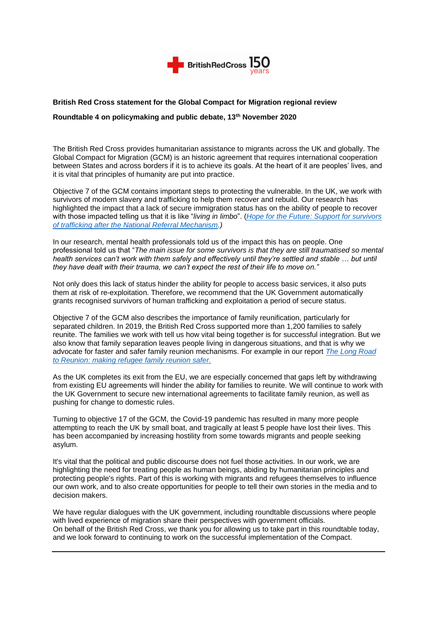

# **British Red Cross statement for the Global Compact for Migration regional review**

# **Roundtable 4 on policymaking and public debate, 13th November 2020**

The British Red Cross provides humanitarian assistance to migrants across the UK and globally. The Global Compact for Migration (GCM) is an historic agreement that requires international cooperation between States and across borders if it is to achieve its goals. At the heart of it are peoples' lives, and it is vital that principles of humanity are put into practice.

Objective 7 of the GCM contains important steps to protecting the vulnerable. In the UK, we work with survivors of modern slavery and trafficking to help them recover and rebuild. Our research has highlighted the impact that a lack of secure immigration status has on the ability of people to recover with those impacted telling us that it is like "*living in limbo*". (*[Hope for the Future: Support for survivors](https://www.redcross.org.uk/about-us/what-we-do/we-speak-up-for-change/human-trafficking-and-slavery/after-the-national-referral-mechanism-report)  [of trafficking after the National Referral Mechanism.](https://www.redcross.org.uk/about-us/what-we-do/we-speak-up-for-change/human-trafficking-and-slavery/after-the-national-referral-mechanism-report))*

In our research, mental health professionals told us of the impact this has on people. One professional told us that "*The main issue for some survivors is that they are still traumatised so mental health services can't work with them safely and effectively until they're settled and stable … but until they have dealt with their trauma, we can't expect the rest of their life to move on."*

Not only does this lack of status hinder the ability for people to access basic services, it also puts them at risk of re-exploitation. Therefore, we recommend that the UK Government automatically grants recognised survivors of human trafficking and exploitation a period of secure status.

Objective 7 of the GCM also describes the importance of family reunification, particularly for separated children. In 2019, the British Red Cross supported more than 1,200 families to safely reunite. The families we work with tell us how vital being together is for successful integration. But we also know that family separation leaves people living in dangerous situations, and that is why we advocate for faster and safer family reunion mechanisms. For example in our report *[The Long Road](http://bit.ly/The_Long_Road)  [to Reunion: making refugee family reunion safer.](http://bit.ly/The_Long_Road)*

As the UK completes its exit from the EU, we are especially concerned that gaps left by withdrawing from existing EU agreements will hinder the ability for families to reunite. We will continue to work with the UK Government to secure new international agreements to facilitate family reunion, as well as pushing for change to domestic rules.

Turning to objective 17 of the GCM, the Covid-19 pandemic has resulted in many more people attempting to reach the UK by small boat, and tragically at least 5 people have lost their lives. This has been accompanied by increasing hostility from some towards migrants and people seeking asylum.

It's vital that the political and public discourse does not fuel those activities. In our work, we are highlighting the need for treating people as human beings, abiding by humanitarian principles and protecting people's rights. Part of this is working with migrants and refugees themselves to influence our own work, and to also create opportunities for people to tell their own stories in the media and to decision makers.

We have regular dialogues with the UK government, including roundtable discussions where people with lived experience of migration share their perspectives with government officials. On behalf of the British Red Cross, we thank you for allowing us to take part in this roundtable today, and we look forward to continuing to work on the successful implementation of the Compact.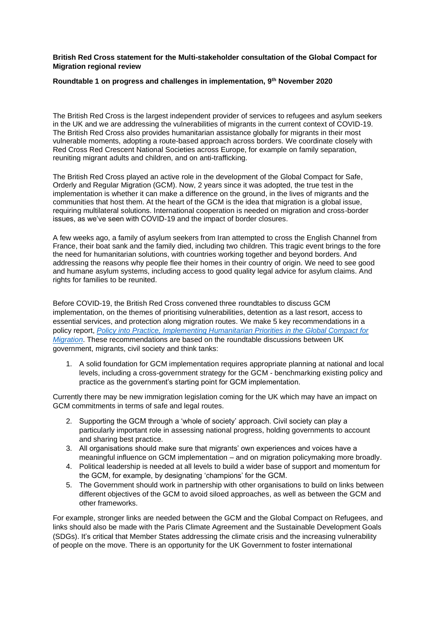## **British Red Cross statement for the Multi-stakeholder consultation of the Global Compact for Migration regional review**

# **Roundtable 1 on progress and challenges in implementation, 9th November 2020**

The British Red Cross is the largest independent provider of services to refugees and asylum seekers in the UK and we are addressing the vulnerabilities of migrants in the current context of COVID-19. The British Red Cross also provides humanitarian assistance globally for migrants in their most vulnerable moments, adopting a route-based approach across borders. We coordinate closely with Red Cross Red Crescent National Societies across Europe, for example on family separation, reuniting migrant adults and children, and on anti-trafficking.

The British Red Cross played an active role in the development of the Global Compact for Safe, Orderly and Regular Migration (GCM). Now, 2 years since it was adopted, the true test in the implementation is whether it can make a difference on the ground, in the lives of migrants and the communities that host them. At the heart of the GCM is the idea that migration is a global issue, requiring multilateral solutions. International cooperation is needed on migration and cross-border issues, as we've seen with COVID-19 and the impact of border closures.

A few weeks ago, a family of asylum seekers from Iran attempted to cross the English Channel from France, their boat sank and the family died, including two children. This tragic event brings to the fore the need for humanitarian solutions, with countries working together and beyond borders. And addressing the reasons why people flee their homes in their country of origin. We need to see good and humane asylum systems, including access to good quality legal advice for asylum claims. And rights for families to be reunited.

Before COVID-19, the British Red Cross convened three roundtables to discuss GCM implementation, on the themes of prioritising vulnerabilities, detention as a last resort, access to essential services, and protection along migration routes. We make 5 key recommendations in a policy report, *[Policy into Practice, Implementing Humanitarian Priorities in the Global Compact for](https://www.redcross.org.uk/-/media/documents/about-us/what-we-do/policy-into-practice-global-compact-migration.pdf)  [Migration](https://www.redcross.org.uk/-/media/documents/about-us/what-we-do/policy-into-practice-global-compact-migration.pdf)*. These recommendations are based on the roundtable discussions between UK government, migrants, civil society and think tanks:

1. A solid foundation for GCM implementation requires appropriate planning at national and local levels, including a cross-government strategy for the GCM - benchmarking existing policy and practice as the government's starting point for GCM implementation.

Currently there may be new immigration legislation coming for the UK which may have an impact on GCM commitments in terms of safe and legal routes.

- 2. Supporting the GCM through a 'whole of society' approach. Civil society can play a particularly important role in assessing national progress, holding governments to account and sharing best practice.
- 3. All organisations should make sure that migrants' own experiences and voices have a meaningful influence on GCM implementation – and on migration policymaking more broadly.
- 4. Political leadership is needed at all levels to build a wider base of support and momentum for the GCM, for example, by designating 'champions' for the GCM.
- 5. The Government should work in partnership with other organisations to build on links between different objectives of the GCM to avoid siloed approaches, as well as between the GCM and other frameworks.

For example, stronger links are needed between the GCM and the Global Compact on Refugees, and links should also be made with the Paris Climate Agreement and the Sustainable Development Goals (SDGs). It's critical that Member States addressing the climate crisis and the increasing vulnerability of people on the move. There is an opportunity for the UK Government to foster international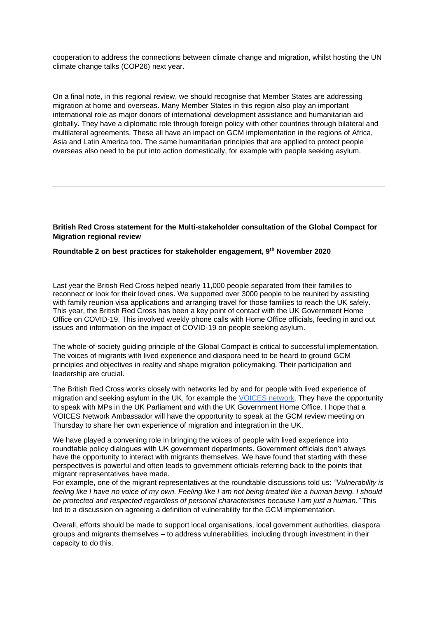cooperation to address the connections between climate change and migration, whilst hosting the UN climate change talks (COP26) next year.

On a final note, in this regional review, we should recognise that Member States are addressing migration at home and overseas. Many Member States in this region also play an important international role as major donors of international development assistance and humanitarian aid globally. They have a diplomatic role through foreign policy with other countries through bilateral and multilateral agreements. These all have an impact on GCM implementation in the regions of Africa, Asia and Latin America too. The same humanitarian principles that are applied to protect people overseas also need to be put into action domestically, for example with people seeking asylum.

### **British Red Cross statement for the Multi-stakeholder consultation of the Global Compact for Migration regional review**

#### **Roundtable 2 on best practices for stakeholder engagement, 9th November 2020**

Last year the British Red Cross helped nearly 11,000 people separated from their families to reconnect or look for their loved ones. We supported over 3000 people to be reunited by assisting with family reunion visa applications and arranging travel for those families to reach the UK safely. This year, the British Red Cross has been a key point of contact with the UK Government Home Office on COVID-19. This involved weekly phone calls with Home Office officials, feeding in and out issues and information on the impact of COVID-19 on people seeking asylum.

The whole-of-society guiding principle of the Global Compact is critical to successful implementation. The voices of migrants with lived experience and diaspora need to be heard to ground GCM principles and objectives in reality and shape migration policymaking. Their participation and leadership are crucial.

The British Red Cross works closely with networks led by and for people with lived experience of migration and seeking asylum in the UK, for example the [VOICES network.](https://thevoicesnetwork.home.blog/) They have the opportunity to speak with MPs in the UK Parliament and with the UK Government Home Office. I hope that a VOICES Network Ambassador will have the opportunity to speak at the GCM review meeting on Thursday to share her own experience of migration and integration in the UK.

We have played a convening role in bringing the voices of people with lived experience into roundtable policy dialogues with UK government departments. Government officials don't always have the opportunity to interact with migrants themselves. We have found that starting with these perspectives is powerful and often leads to government officials referring back to the points that migrant representatives have made.

For example, one of the migrant representatives at the roundtable discussions told us: *"Vulnerability is feeling like I have no voice of my own. Feeling like I am not being treated like a human being. I should be protected and respected regardless of personal characteristics because I am just a human."* This led to a discussion on agreeing a definition of vulnerability for the GCM implementation.

Overall, efforts should be made to support local organisations, local government authorities, diaspora groups and migrants themselves – to address vulnerabilities, including through investment in their capacity to do this.